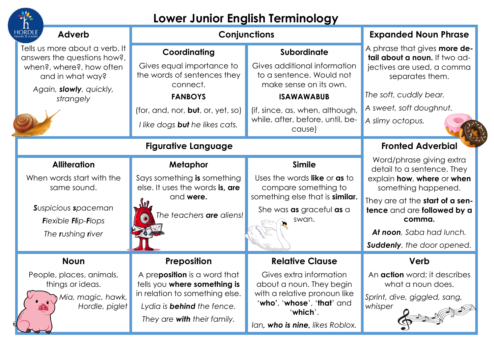| Lower Junior English Terminology                                                                                                                                 |                                                                                                                                                                                                         |                                                                                                                                                                                            |                                                                                                                                                                                                                                                          |  |  |
|------------------------------------------------------------------------------------------------------------------------------------------------------------------|---------------------------------------------------------------------------------------------------------------------------------------------------------------------------------------------------------|--------------------------------------------------------------------------------------------------------------------------------------------------------------------------------------------|----------------------------------------------------------------------------------------------------------------------------------------------------------------------------------------------------------------------------------------------------------|--|--|
| HORDLE<br><b>Adverb</b>                                                                                                                                          | Conjunctions                                                                                                                                                                                            |                                                                                                                                                                                            | <b>Expanded Noun Phrase</b>                                                                                                                                                                                                                              |  |  |
| Tells us more about a verb. It<br>answers the questions how?,<br>when?, where?, how often<br>and in what way?                                                    | Coordinating<br>Gives equal importance to<br>the words of sentences they                                                                                                                                | Subordinate<br>Gives additional information<br>to a sentence. Would not                                                                                                                    | A phrase that gives <b>more de-</b><br>tail about a noun. If two ad-<br>jectives are used, a comma<br>separates them.                                                                                                                                    |  |  |
| Again, slowly, quickly,<br>strangely                                                                                                                             | connect.<br><b>FANBOYS</b><br>(for, and, nor, $but$ , or, yet, so)<br>I like dogs <b>but</b> he likes cats.                                                                                             | make sense on its own.<br><b>ISAWAWABUB</b><br>(if, since, as, when, although,<br>while, after, before, until, be-                                                                         | The soft, cuddly bear.<br>A sweet, soft doughnut.<br>A slimy octopus.                                                                                                                                                                                    |  |  |
| cause)<br><b>Figurative Language</b>                                                                                                                             |                                                                                                                                                                                                         |                                                                                                                                                                                            | <b>Fronted Adverbial</b>                                                                                                                                                                                                                                 |  |  |
| <b>Alliteration</b><br>When words start with the<br>same sound.<br><b>S</b> uspicious spaceman<br><b>Flexible Flip-Flops</b><br>The <b>r</b> ushing <b>river</b> | <b>Metaphor</b><br>Says something is something<br>else. It uses the words is, are<br>and were.<br><b>Sul</b><br>The teachers <b>are</b> aliens!                                                         | <b>Simile</b><br>Uses the words like or as to<br>compare something to<br>something else that is similar.<br>She was as graceful as a<br>swan.                                              | Word/phrase giving extra<br>detail to a sentence. They<br>explain how, where or when<br>something happened.<br>They are at the <b>start of a sen-</b><br>tence and are followed by a<br>comma.<br>At noon, Saba had lunch.<br>Suddenly, the door opened. |  |  |
| <b>Noun</b><br>People, places, animals,<br>things or ideas.<br>Mia, magic, hawk,<br>Hordle, piglet<br>$\bf \odot$                                                | <b>Preposition</b><br>A pre <b>position</b> is a word that<br>tells you where something is<br>in relation to something else.<br>Lydia is <b>behind</b> the fence.<br>They are <b>with</b> their family. | <b>Relative Clause</b><br>Gives extra information<br>about a noun. They begin<br>with a relative pronoun like<br>'who', 'whose', 'that' and<br>'which'.<br>Ian, who is nine, likes Roblox. | Verb<br>An <b>action</b> word; it describes<br>what a noun does.<br>Sprint, dive, giggled, sang,<br>whisper                                                                                                                                              |  |  |